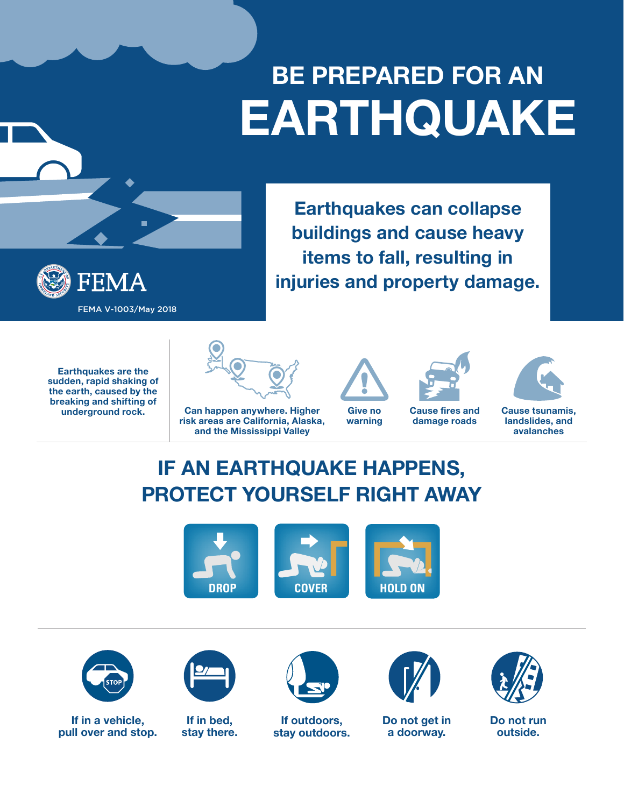# **BE PREPARED FOR AN EARTHQUAKE**

**Earthquakes can collapse** 

**buildings and cause heavy** 

**items to fall, resulting in** 

**injuries and property damage.**



**Earthquakes are the sudden, rapid shaking of the earth, caused by the breaking and shifting of** 



**Can happen anywhere. Higher risk areas are California, Alaska, and the Mississippi Valley**

**Give no warning**



**damage roads**



**Cause tsunamis, landslides, and avalanches**

### **IF AN EARTHQUAKE HAPPENS, PROTECT YOURSELF RIGHT AWAY**





**If in a vehicle, pull over and stop.**



**If in bed, stay there.**



**If outdoors, stay outdoors.**



**Do not get in a doorway.**



**Do not run outside.**